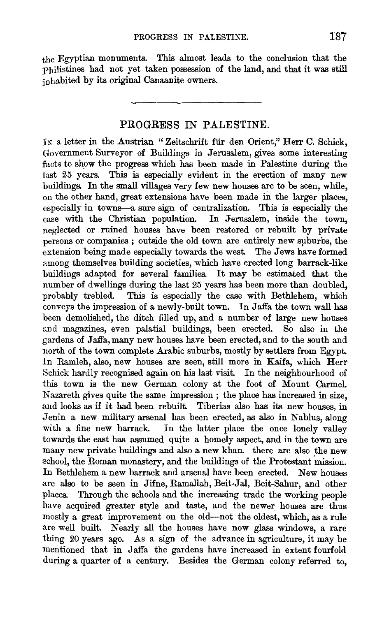the Egyptian monuments. This almost leads to the conclusion that the philistines had not yet taken possession of the land, and that it was still inhabited by its original Canaanite owners.

## PROGRESS IN PALESTINE.

IN a letter in the Austrian "Zeitschrift für den Orient," Herr C. Schick, Government Surveyor of Buildings in Jerusalem, gives some interesting facts to show the progress which has been made in Palestine during the last 25 years. This is especially evident in the erection of many new buildings. In the small villages very few new houses are to be seen, while, on the other hand, great extensions have been made in the larger places, especially in towns--a sure sign of centralization. This is especially the case with the Christian population. In Jerusalem, inside the town, neglected or ruined houses have been restored or rebuilt by private persons or companies ; outside the old town are entirely new suburbs, the extension being made especially towards the west. The Jews have formed among themselves building societies, which have erected long barrack-like buildings adapted for several families. It may be estimated that the number of dwellings during the last 25 years has been more than doubled, probably trebled. This is especially the case with Bethlehem, which conveys the impression of a newly-built town. In Jaffa the town wall has been demolished, the ditch filled up, and a number of large new houses and magazines, even palatial buildings, been erected. So also in the gardens of Jaffa, many new houses have been erected, and to the south and north of the town complete Arabic suburbs, mostly by settlers from Egypt. In Ramleh, also, new houses are seen, still more in Kaifa, which Herr Schick hardly recognised again on his last visit. In the neighbourhood of this town is the new German colony at the foot of Mount CarmeL Nazareth gives quite the same impression ; the place has increased in size, and looks as if it had been rebuilt. Tiberias also has its new houses, in Jenin a new military arsenal has been erected, as also in Nablus, along with a fine new barrack. In the latter place the once lonely valley towards the east has assumed quite a homely aspect, and in the town are many new private buildings and also a new khan. there are also the new school, the Roman monastery, and the buildings of the Protestant mission. In Bethlehem a new barrack and arsenal have been erected. New houses are also to be seen in Jifne, Ramallah, Beit-Jal, Beit-Sahur, and other places. Through the schools and the increasing trade the working people have acquired greater style and taste, and the newer houses are thus mostly a great improvement on the old-not the oldest, which, as a rule are well built. Nearly all the houses have now glass windows, a rare thing 20 years ago. As a sign of the advance in agriculture, it may be mentioned that in Jaffa the gardens have increased in extent fourfold during a quarter of a century. Besides the German colony referred to,